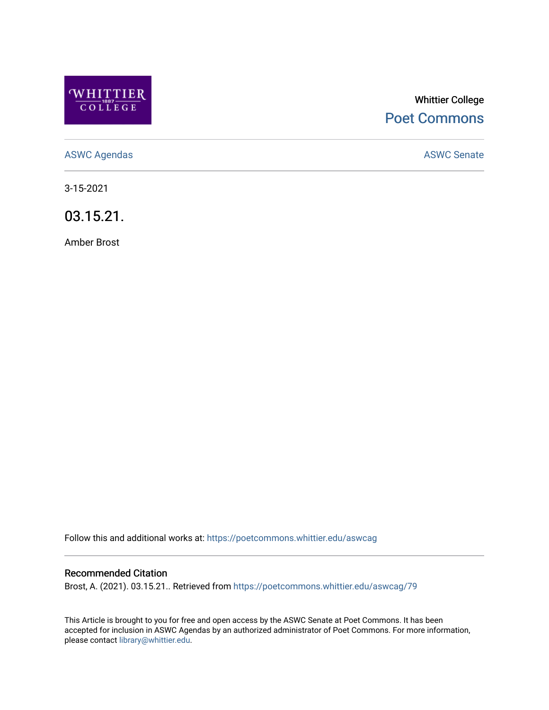

# Whittier College [Poet Commons](https://poetcommons.whittier.edu/)

[ASWC Agendas](https://poetcommons.whittier.edu/aswcag) **ASWC Senate** 

3-15-2021

03.15.21.

Amber Brost

Follow this and additional works at: [https://poetcommons.whittier.edu/aswcag](https://poetcommons.whittier.edu/aswcag?utm_source=poetcommons.whittier.edu%2Faswcag%2F79&utm_medium=PDF&utm_campaign=PDFCoverPages) 

## Recommended Citation

Brost, A. (2021). 03.15.21.. Retrieved from [https://poetcommons.whittier.edu/aswcag/79](https://poetcommons.whittier.edu/aswcag/79?utm_source=poetcommons.whittier.edu%2Faswcag%2F79&utm_medium=PDF&utm_campaign=PDFCoverPages) 

This Article is brought to you for free and open access by the ASWC Senate at Poet Commons. It has been accepted for inclusion in ASWC Agendas by an authorized administrator of Poet Commons. For more information, please contact [library@whittier.edu](mailto:library@whittier.edu).